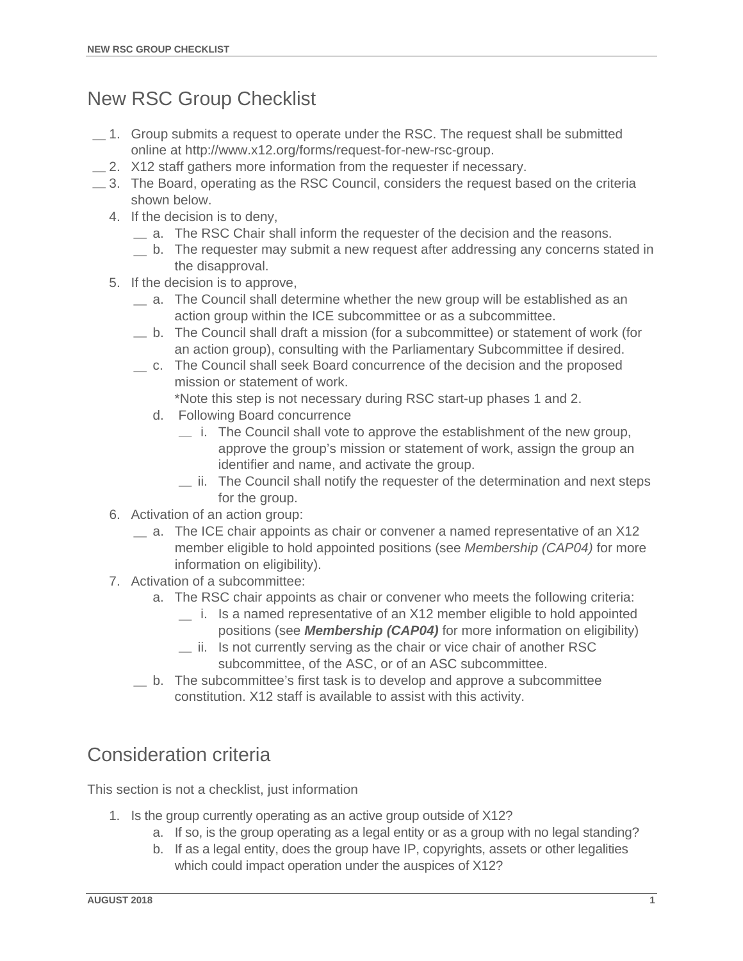## New RSC Group Checklist

- $-1.$  Group submits a request to operate under the RSC. The request shall be submitted online at http://www.x12.org/forms/request-for-new-rsc-group.
- $\equiv$  2. X12 staff gathers more information from the requester if necessary.
- $\equiv$  3. The Board, operating as the RSC Council, considers the request based on the criteria shown below.
	- 4. If the decision is to deny,
		- a. The RSC Chair shall inform the requester of the decision and the reasons.
		- b. The requester may submit a new request after addressing any concerns stated in the disapproval.
	- 5. If the decision is to approve,
		- a. The Council shall determine whether the new group will be established as an action group within the ICE subcommittee or as a subcommittee.
		- b. The Council shall draft a mission (for a subcommittee) or statement of work (for an action group), consulting with the Parliamentary Subcommittee if desired.
		- c. The Council shall seek Board concurrence of the decision and the proposed mission or statement of work.
			- \*Note this step is not necessary during RSC start-up phases 1 and 2.
			- d. Following Board concurrence
				- $\equiv$  i. The Council shall vote to approve the establishment of the new group, approve the group's mission or statement of work, assign the group an identifier and name, and activate the group.
				- $\equiv$  ii. The Council shall notify the requester of the determination and next steps for the group.
	- 6. Activation of an action group:
		- $\equiv$  a. The ICE chair appoints as chair or convener a named representative of an X12 member eligible to hold appointed positions (see *Membership (CAP04)* for more information on eligibility).
	- 7. Activation of a subcommittee:
		- a. The RSC chair appoints as chair or convener who meets the following criteria:
			- i. Is a named representative of an X12 member eligible to hold appointed positions (see *Membership (CAP04)* for more information on eligibility)
			- $\equiv$  ii. Is not currently serving as the chair or vice chair of another RSC subcommittee, of the ASC, or of an ASC subcommittee.
		- b. The subcommittee's first task is to develop and approve a subcommittee constitution. X12 staff is available to assist with this activity.

## Consideration criteria

This section is not a checklist, just information

- 1. Is the group currently operating as an active group outside of X12?
	- a. If so, is the group operating as a legal entity or as a group with no legal standing?
	- b. If as a legal entity, does the group have IP, copyrights, assets or other legalities which could impact operation under the auspices of X12?